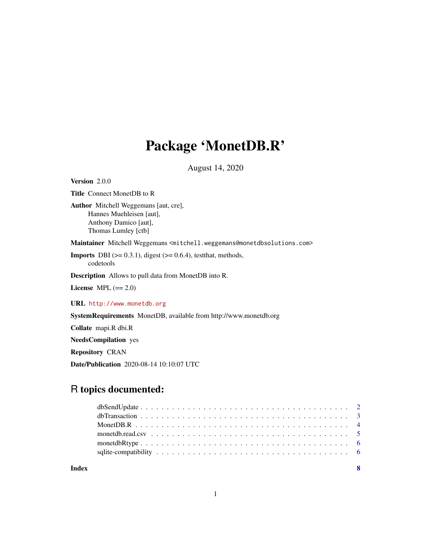## Package 'MonetDB.R'

August 14, 2020

<span id="page-0-0"></span>Version 2.0.0

Title Connect MonetDB to R Author Mitchell Weggemans [aut, cre], Hannes Muehleisen [aut], Anthony Damico [aut], Thomas Lumley [ctb] Maintainer Mitchell Weggemans <mitchell.weggemans@monetdbsolutions.com> **Imports** DBI  $(>= 0.3.1)$ , digest  $(>= 0.6.4)$ , testthat, methods, codetools Description Allows to pull data from MonetDB into R. License MPL  $(== 2.0)$ URL <http://www.monetdb.org> SystemRequirements MonetDB, available from http://www.monetdb.org Collate mapi.R dbi.R

NeedsCompilation yes

Repository CRAN

Date/Publication 2020-08-14 10:10:07 UTC

## R topics documented:

| Index | -8 |
|-------|----|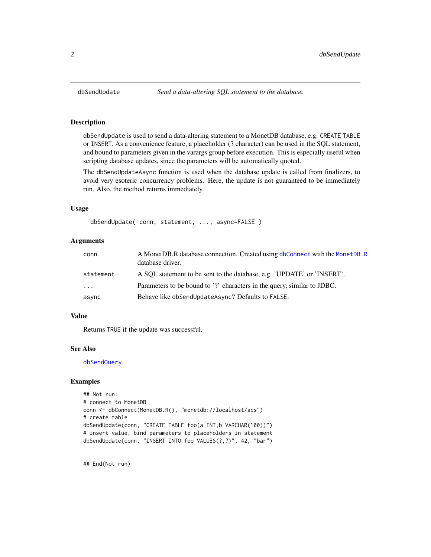#### <span id="page-1-2"></span>Description

dbSendUpdate is used to send a data-altering statement to a MonetDB database, e.g. CREATE TABLE or INSERT. As a convenience feature, a placeholder (? character) can be used in the SQL statement, and bound to parameters given in the varargs group before execution. This is especially useful when scripting database updates, since the parameters will be automatically quoted.

The dbSendUpdateAsync function is used when the database update is called from finalizers, to avoid very esoteric concurrency problems. Here, the update is not guaranteed to be immediately run. Also, the method returns immediately.

#### Usage

```
dbSendUpdate( conn, statement, ..., async=FALSE )
```
#### Arguments

| conn      | A MonetDB.R database connection. Created using dbConnect with the MonetDB.R<br>database driver. |
|-----------|-------------------------------------------------------------------------------------------------|
| statement | A SQL statement to be sent to the database, e.g. 'UPDATE' or 'INSERT'.                          |
| $\cdots$  | Parameters to be bound to '?' characters in the query, similar to JDBC.                         |
| async     | Behave like dbSendUpdateAsync? Defaults to FALSE.                                               |

#### Value

Returns TRUE if the update was successful.

#### See Also

[dbSendQuery](#page-0-0)

#### Examples

```
## Not run:
# connect to MonetDB
conn <- dbConnect(MonetDB.R(), "monetdb://localhost/acs")
# create table
dbSendUpdate(conn, "CREATE TABLE foo(a INT,b VARCHAR(100))")
# insert value, bind parameters to placeholders in statement
dbSendUpdate(conn, "INSERT INTO foo VALUES(?,?)", 42, "bar")
```
## End(Not run)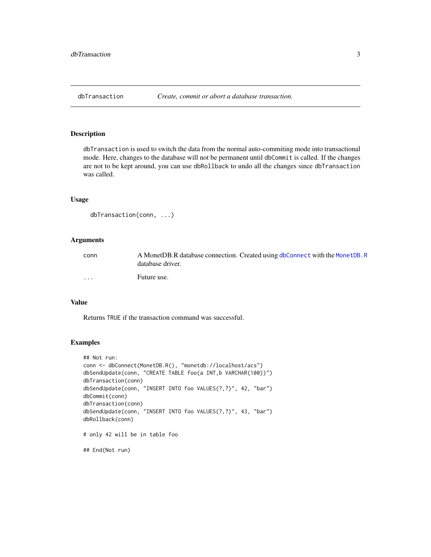<span id="page-2-0"></span>

#### Description

dbTransaction is used to switch the data from the normal auto-commiting mode into transactional mode. Here, changes to the database will not be permanent until dbCommit is called. If the changes are not to be kept around, you can use dbRollback to undo all the changes since dbTransaction was called.

#### Usage

```
dbTransaction(conn, ...)
```
#### Arguments

| conn                    | A MonetDB.R database connection. Created using dbConnect with the MonetDB.R<br>database driver. |
|-------------------------|-------------------------------------------------------------------------------------------------|
| $\cdot$ $\cdot$ $\cdot$ | Future use.                                                                                     |

#### Value

Returns TRUE if the transaction command was successful.

#### Examples

```
## Not run:
conn <- dbConnect(MonetDB.R(), "monetdb://localhost/acs")
dbSendUpdate(conn, "CREATE TABLE foo(a INT,b VARCHAR(100))")
dbTransaction(conn)
dbSendUpdate(conn, "INSERT INTO foo VALUES(?,?)", 42, "bar")
dbCommit(conn)
dbTransaction(conn)
dbSendUpdate(conn, "INSERT INTO foo VALUES(?,?)", 43, "bar")
dbRollback(conn)
# only 42 will be in table foo
```
## End(Not run)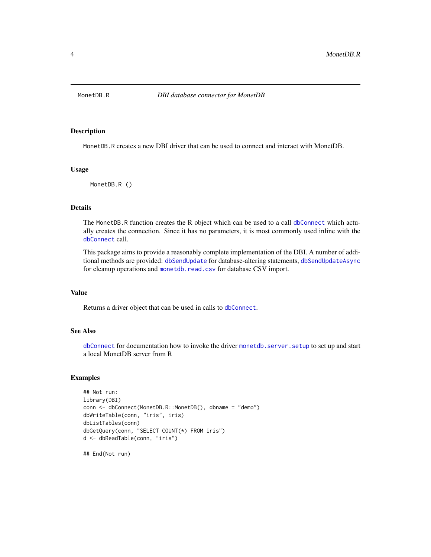<span id="page-3-1"></span><span id="page-3-0"></span>

#### Description

MonetDB.R creates a new DBI driver that can be used to connect and interact with MonetDB.

#### Usage

MonetDB.R ()

#### Details

The MonetDB.R function creates the R object which can be used to a call [dbConnect](#page-0-0) which actually creates the connection. Since it has no parameters, it is most commonly used inline with the [dbConnect](#page-0-0) call.

This package aims to provide a reasonably complete implementation of the DBI. A number of additional methods are provided: [dbSendUpdate](#page-1-1) for database-altering statements, [dbSendUpdateAsync](#page-1-2) for cleanup operations and [monetdb.read.csv](#page-4-1) for database CSV import.

#### Value

Returns a driver object that can be used in calls to [dbConnect](#page-0-0).

#### See Also

[dbConnect](#page-0-0) for documentation how to invoke the driver [monetdb.server.setup](#page-0-0) to set up and start a local MonetDB server from R

#### Examples

```
## Not run:
library(DBI)
conn <- dbConnect(MonetDB.R::MonetDB(), dbname = "demo")
dbWriteTable(conn, "iris", iris)
dbListTables(conn)
dbGetQuery(conn, "SELECT COUNT(*) FROM iris")
d <- dbReadTable(conn, "iris")
```
## End(Not run)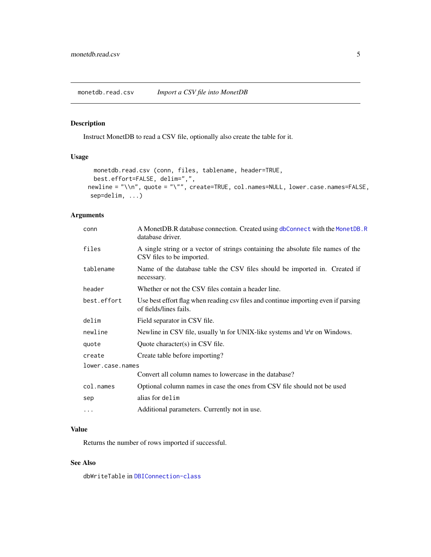<span id="page-4-1"></span><span id="page-4-0"></span>monetdb.read.csv *Import a CSV file into MonetDB*

#### Description

Instruct MonetDB to read a CSV file, optionally also create the table for it.

#### Usage

```
monetdb.read.csv (conn, files, tablename, header=TRUE,
 best.effort=FALSE, delim=",",
newline = "\\n", quote = "\"", create=TRUE, col.names=NULL, lower.case.names=FALSE,
sep=delim, ...)
```
#### Arguments

| conn             | A MonetDB.R database connection. Created using dbConnect with the MonetDB.R<br>database driver.               |
|------------------|---------------------------------------------------------------------------------------------------------------|
| files            | A single string or a vector of strings containing the absolute file names of the<br>CSV files to be imported. |
| tablename        | Name of the database table the CSV files should be imported in. Created if<br>necessary.                      |
| header           | Whether or not the CSV files contain a header line.                                                           |
| best.effort      | Use best effort flag when reading csv files and continue importing even if parsing<br>of fields/lines fails.  |
| delim            | Field separator in CSV file.                                                                                  |
| newline          | Newline in CSV file, usually \n for UNIX-like systems and \r\r on Windows.                                    |
| quote            | Quote character(s) in CSV file.                                                                               |
| create           | Create table before importing?                                                                                |
| lower.case.names |                                                                                                               |
|                  | Convert all column names to lowercase in the database?                                                        |
| col.names        | Optional column names in case the ones from CSV file should not be used                                       |
| sep              | alias for delim                                                                                               |
| .                | Additional parameters. Currently not in use.                                                                  |

#### Value

Returns the number of rows imported if successful.

#### See Also

dbWriteTable in [DBIConnection-class](#page-0-0)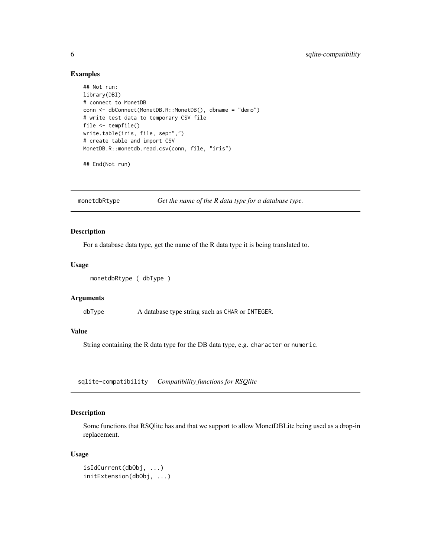#### Examples

```
## Not run:
library(DBI)
# connect to MonetDB
conn <- dbConnect(MonetDB.R::MonetDB(), dbname = "demo")
# write test data to temporary CSV file
file <- tempfile()
write.table(iris, file, sep=",")
# create table and import CSV
MonetDB.R::monetdb.read.csv(conn, file, "iris")
```
## End(Not run)

monetdbRtype *Get the name of the R data type for a database type.*

#### Description

For a database data type, get the name of the R data type it is being translated to.

#### Usage

```
monetdbRtype ( dbType )
```
#### Arguments

dbType A database type string such as CHAR or INTEGER.

#### Value

String containing the R data type for the DB data type, e.g. character or numeric.

sqlite-compatibility *Compatibility functions for RSQlite*

#### Description

Some functions that RSQlite has and that we support to allow MonetDBLite being used as a drop-in replacement.

#### Usage

```
isIdCurrent(dbObj, ...)
initExtension(dbObj, ...)
```
<span id="page-5-0"></span>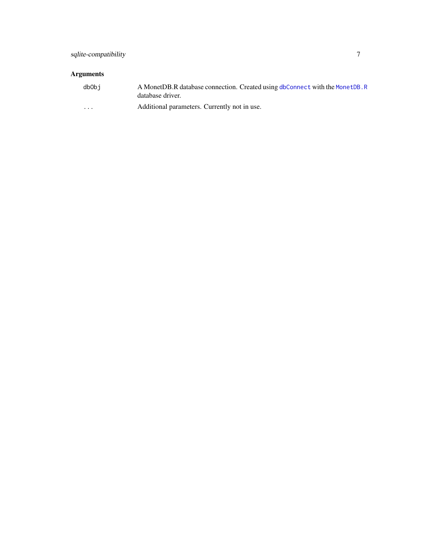### <span id="page-6-0"></span>Arguments

| dbObj   | A MonetDB.R database connection. Created using dbConnect with the MonetDB.R<br>database driver. |
|---------|-------------------------------------------------------------------------------------------------|
| $\cdot$ | Additional parameters. Currently not in use.                                                    |